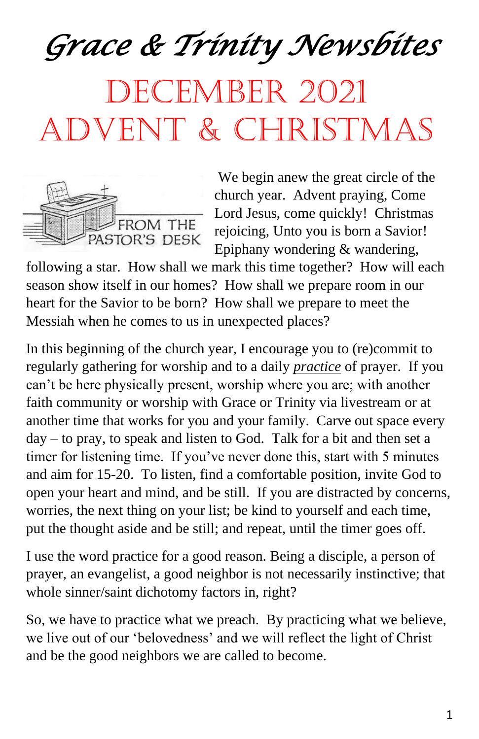*Grace & Trinity Newsbites* 

# DECEMBER 2021 Advent & Christmas



We begin anew the great circle of the church year. Advent praying, Come Lord Jesus, come quickly! Christmas rejoicing, Unto you is born a Savior! Epiphany wondering & wandering,

following a star. How shall we mark this time together? How will each season show itself in our homes? How shall we prepare room in our heart for the Savior to be born? How shall we prepare to meet the Messiah when he comes to us in unexpected places?

In this beginning of the church year, I encourage you to (re)commit to regularly gathering for worship and to a daily *practice* of prayer. If you can't be here physically present, worship where you are; with another faith community or worship with Grace or Trinity via livestream or at another time that works for you and your family. Carve out space every day – to pray, to speak and listen to God. Talk for a bit and then set a timer for listening time. If you've never done this, start with 5 minutes and aim for 15-20. To listen, find a comfortable position, invite God to open your heart and mind, and be still. If you are distracted by concerns, worries, the next thing on your list; be kind to yourself and each time, put the thought aside and be still; and repeat, until the timer goes off.

I use the word practice for a good reason. Being a disciple, a person of prayer, an evangelist, a good neighbor is not necessarily instinctive; that whole sinner/saint dichotomy factors in, right?

So, we have to practice what we preach. By practicing what we believe, we live out of our 'belovedness' and we will reflect the light of Christ and be the good neighbors we are called to become.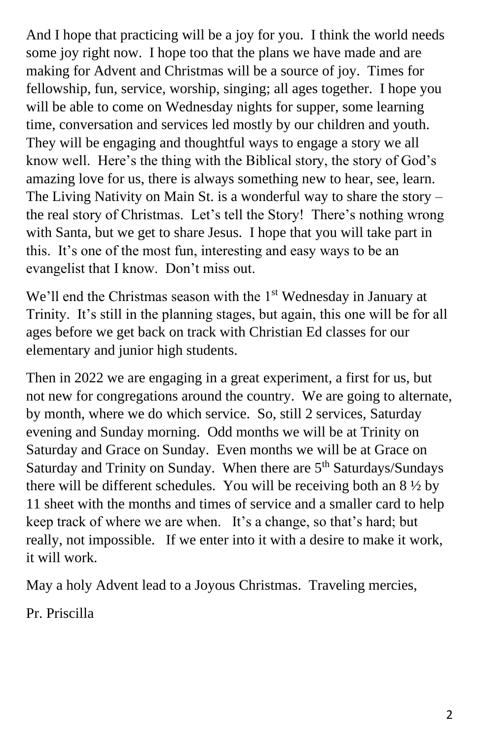And I hope that practicing will be a joy for you. I think the world needs some joy right now. I hope too that the plans we have made and are making for Advent and Christmas will be a source of joy. Times for fellowship, fun, service, worship, singing; all ages together. I hope you will be able to come on Wednesday nights for supper, some learning time, conversation and services led mostly by our children and youth. They will be engaging and thoughtful ways to engage a story we all know well. Here's the thing with the Biblical story, the story of God's amazing love for us, there is always something new to hear, see, learn. The Living Nativity on Main St. is a wonderful way to share the story – the real story of Christmas. Let's tell the Story! There's nothing wrong with Santa, but we get to share Jesus. I hope that you will take part in this. It's one of the most fun, interesting and easy ways to be an evangelist that I know. Don't miss out.

We'll end the Christmas season with the 1<sup>st</sup> Wednesday in January at Trinity. It's still in the planning stages, but again, this one will be for all ages before we get back on track with Christian Ed classes for our elementary and junior high students.

Then in 2022 we are engaging in a great experiment, a first for us, but not new for congregations around the country. We are going to alternate, by month, where we do which service. So, still 2 services, Saturday evening and Sunday morning. Odd months we will be at Trinity on Saturday and Grace on Sunday. Even months we will be at Grace on Saturday and Trinity on Sunday. When there are 5<sup>th</sup> Saturdays/Sundays there will be different schedules. You will be receiving both an  $8\frac{1}{2}$  by 11 sheet with the months and times of service and a smaller card to help keep track of where we are when. It's a change, so that's hard; but really, not impossible. If we enter into it with a desire to make it work, it will work.

May a holy Advent lead to a Joyous Christmas. Traveling mercies,

Pr. Priscilla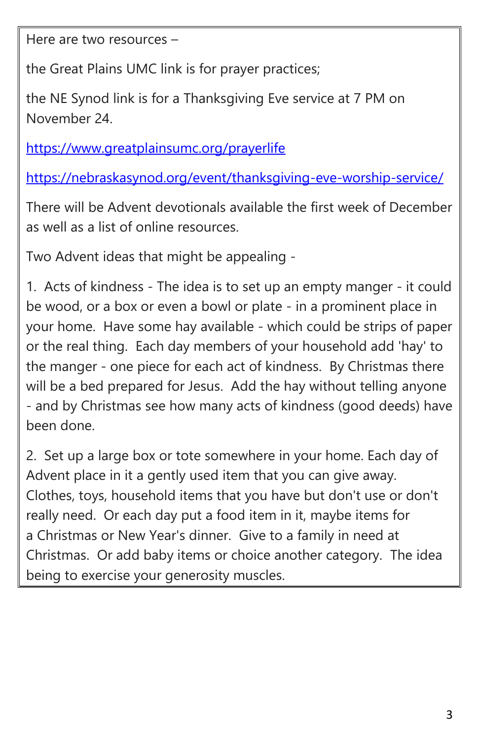Here are two resources –

the Great Plains UMC link is for prayer practices;

the NE Synod link is for a Thanksgiving Eve service at 7 PM on November 24.

<https://www.greatplainsumc.org/prayerlife>

<https://nebraskasynod.org/event/thanksgiving-eve-worship-service/>

There will be Advent devotionals available the first week of December as well as a list of online resources.

Two Advent ideas that might be appealing -

1. Acts of kindness - The idea is to set up an empty manger - it could be wood, or a box or even a bowl or plate - in a prominent place in your home. Have some hay available - which could be strips of paper or the real thing. Each day members of your household add 'hay' to the manger - one piece for each act of kindness. By Christmas there will be a bed prepared for Jesus. Add the hay without telling anyone - and by Christmas see how many acts of kindness (good deeds) have been done.

2. Set up a large box or tote somewhere in your home. Each day of Advent place in it a gently used item that you can give away. Clothes, toys, household items that you have but don't use or don't really need. Or each day put a food item in it, maybe items for a Christmas or New Year's dinner. Give to a family in need at Christmas. Or add baby items or choice another category. The idea being to exercise your generosity muscles.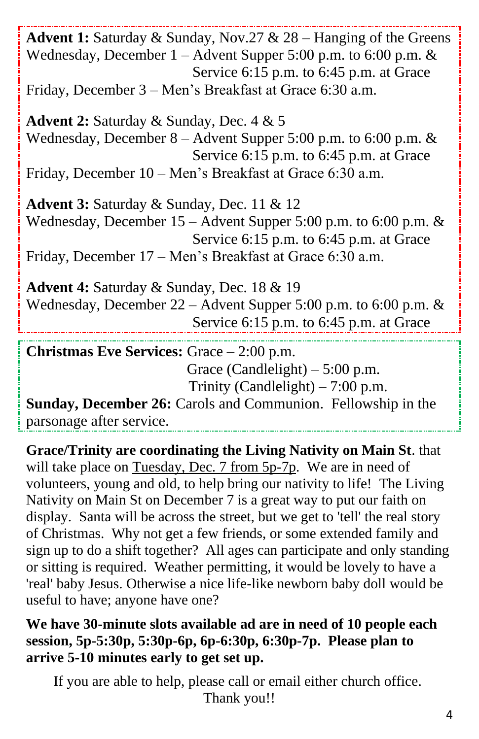**Advent 1:** Saturday & Sunday, Nov.27 & 28 – Hanging of the Greens Wednesday, December 1 – Advent Supper 5:00 p.m. to 6:00 p.m. & Service 6:15 p.m. to 6:45 p.m. at Grace Friday, December 3 – Men's Breakfast at Grace 6:30 a.m. **Advent 2:** Saturday & Sunday, Dec. 4 & 5 Wednesday, December 8 – Advent Supper 5:00 p.m. to 6:00 p.m. & Service 6:15 p.m. to 6:45 p.m. at Grace Friday, December 10 – Men's Breakfast at Grace 6:30 a.m. **Advent 3:** Saturday & Sunday, Dec. 11 & 12 Wednesday, December 15 – Advent Supper 5:00 p.m. to 6:00 p.m. & Service 6:15 p.m. to 6:45 p.m. at Grace Friday, December 17 – Men's Breakfast at Grace 6:30 a.m. **Advent 4:** Saturday & Sunday, Dec. 18 & 19 Wednesday, December 22 – Advent Supper 5:00 p.m. to 6:00 p.m. & Service 6:15 p.m. to 6:45 p.m. at Grace **Christmas Eve Services:** Grace – 2:00 p.m. Grace (Candlelight)  $-5:00$  p.m. Trinity (Candlelight)  $-7:00$  p.m. **Sunday, December 26:** Carols and Communion. Fellowship in the parsonage after service.

**Grace/Trinity are coordinating the Living Nativity on Main St**. that will take place on Tuesday, Dec. 7 from 5p-7p. We are in need of volunteers, young and old, to help bring our nativity to life! The Living Nativity on Main St on December 7 is a great way to put our faith on display. Santa will be across the street, but we get to 'tell' the real story of Christmas. Why not get a few friends, or some extended family and sign up to do a shift together? All ages can participate and only standing or sitting is required. Weather permitting, it would be lovely to have a 'real' baby Jesus. Otherwise a nice life-like newborn baby doll would be useful to have; anyone have one?

**We have 30-minute slots available ad are in need of 10 people each session, 5p-5:30p, 5:30p-6p, 6p-6:30p, 6:30p-7p. Please plan to arrive 5-10 minutes early to get set up.**

If you are able to help, please call or email either church office. Thank you!!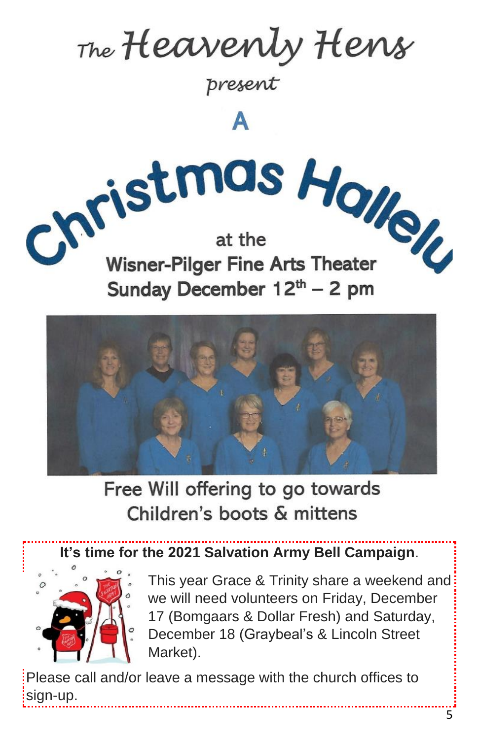The Heavenly Hens

present

Δ

Christmas Holley **Wisner-Pilger Fine Arts Theater** Sunday December 12th - 2 pm



Free Will offering to go towards Children's boots & mittens

**It's time for the 2021 Salvation Army Bell Campaign**.



This year Grace & Trinity share a weekend and we will need volunteers on Friday, December 17 (Bomgaars & Dollar Fresh) and Saturday, December 18 (Graybeal's & Lincoln Street Market).

Please call and/or leave a message with the church offices to sign-up.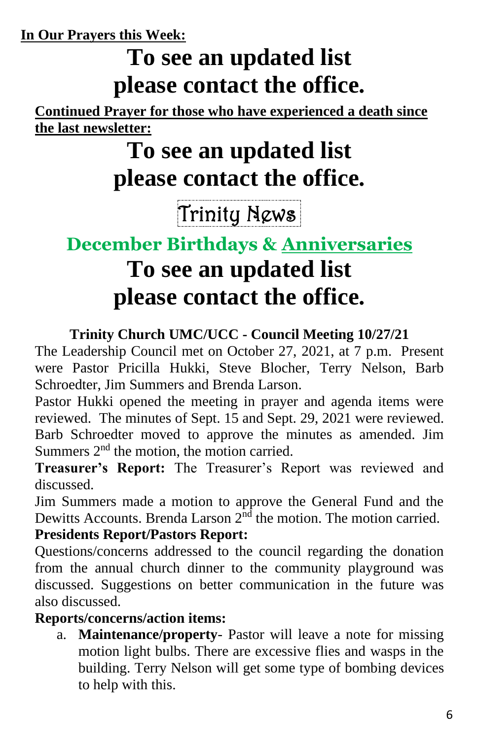**In Our Prayers this Week:**

# **To see an updated list please contact the office.**

**Continued Prayer for those who have experienced a death since the last newsletter:**

# **To see an updated list please contact the office.**

# Trinity News.

## **December Birthdays & Anniversaries To see an updated list please contact the office.**

#### **Trinity Church UMC/UCC - Council Meeting 10/27/21**

The Leadership Council met on October 27, 2021, at 7 p.m. Present were Pastor Pricilla Hukki, Steve Blocher, Terry Nelson, Barb Schroedter, Jim Summers and Brenda Larson.

Pastor Hukki opened the meeting in prayer and agenda items were reviewed. The minutes of Sept. 15 and Sept. 29, 2021 were reviewed. Barb Schroedter moved to approve the minutes as amended. Jim Summers  $2<sup>nd</sup>$  the motion, the motion carried.

**Treasurer's Report:** The Treasurer's Report was reviewed and discussed.

Jim Summers made a motion to approve the General Fund and the Dewitts Accounts. Brenda Larson  $2<sup>nd</sup>$  the motion. The motion carried.

#### **Presidents Report/Pastors Report:**

Questions/concerns addressed to the council regarding the donation from the annual church dinner to the community playground was discussed. Suggestions on better communication in the future was also discussed.

#### **Reports/concerns/action items:**

a. **Maintenance/property**- Pastor will leave a note for missing motion light bulbs. There are excessive flies and wasps in the building. Terry Nelson will get some type of bombing devices to help with this.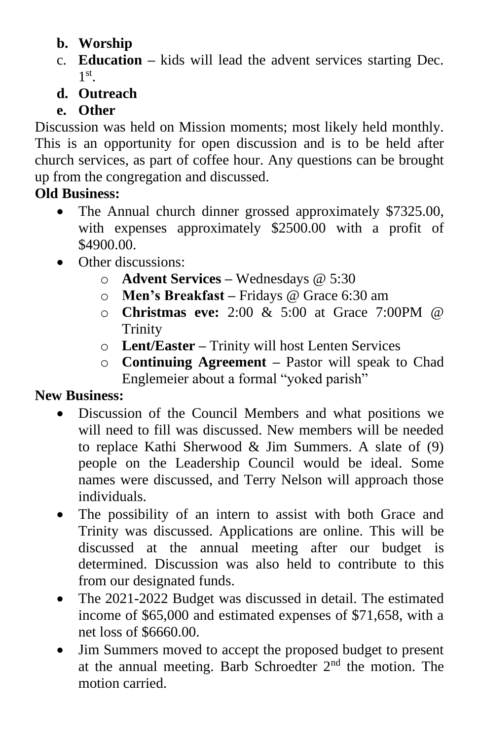- **b. Worship**
- c. **Education –** kids will lead the advent services starting Dec. 1 st .

#### **d. Outreach**

#### **e. Other**

Discussion was held on Mission moments; most likely held monthly. This is an opportunity for open discussion and is to be held after church services, as part of coffee hour. Any questions can be brought up from the congregation and discussed.

#### **Old Business:**

- The Annual church dinner grossed approximately \$7325.00, with expenses approximately \$2500.00 with a profit of \$4900.00.
- Other discussions:
	- o **Advent Services –** Wednesdays @ 5:30
	- o **Men's Breakfast –** Fridays @ Grace 6:30 am
	- o **Christmas eve:** 2:00 & 5:00 at Grace 7:00PM @ **Trinity**
	- o **Lent/Easter –** Trinity will host Lenten Services
	- o **Continuing Agreement –** Pastor will speak to Chad Englemeier about a formal "yoked parish"

#### **New Business:**

- Discussion of the Council Members and what positions we will need to fill was discussed. New members will be needed to replace Kathi Sherwood & Jim Summers. A slate of (9) people on the Leadership Council would be ideal. Some names were discussed, and Terry Nelson will approach those individuals.
- The possibility of an intern to assist with both Grace and Trinity was discussed. Applications are online. This will be discussed at the annual meeting after our budget is determined. Discussion was also held to contribute to this from our designated funds.
- The 2021-2022 Budget was discussed in detail. The estimated income of \$65,000 and estimated expenses of \$71,658, with a net loss of \$6660.00.
- Jim Summers moved to accept the proposed budget to present at the annual meeting. Barb Schroedter 2nd the motion. The motion carried.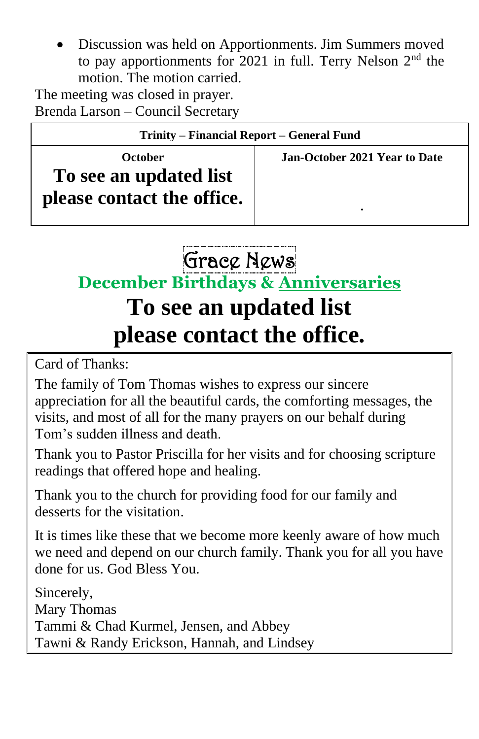• Discussion was held on Apportionments. Jim Summers moved to pay apportionments for 2021 in full. Terry Nelson  $2<sup>nd</sup>$  the motion. The motion carried.

The meeting was closed in prayer. Brenda Larson – Council Secretary

| Trinity – Financial Report – General Fund                              |                                    |
|------------------------------------------------------------------------|------------------------------------|
| <b>October</b><br>To see an updated list<br>please contact the office. | Jan-October 2021 Year to Date<br>٠ |

Grace News

**December Birthdays & Anniversaries**

## **To see an updated list please contact the office.**

Card of Thanks:

The family of Tom Thomas wishes to express our sincere appreciation for all the beautiful cards, the comforting messages, the visits, and most of all for the many prayers on our behalf during Tom's sudden illness and death.

Thank you to Pastor Priscilla for her visits and for choosing scripture readings that offered hope and healing.

Thank you to the church for providing food for our family and desserts for the visitation.

It is times like these that we become more keenly aware of how much we need and depend on our church family. Thank you for all you have done for us. God Bless You.

Sincerely, Mary Thomas Tammi & Chad Kurmel, Jensen, and Abbey Tawni & Randy Erickson, Hannah, and Lindsey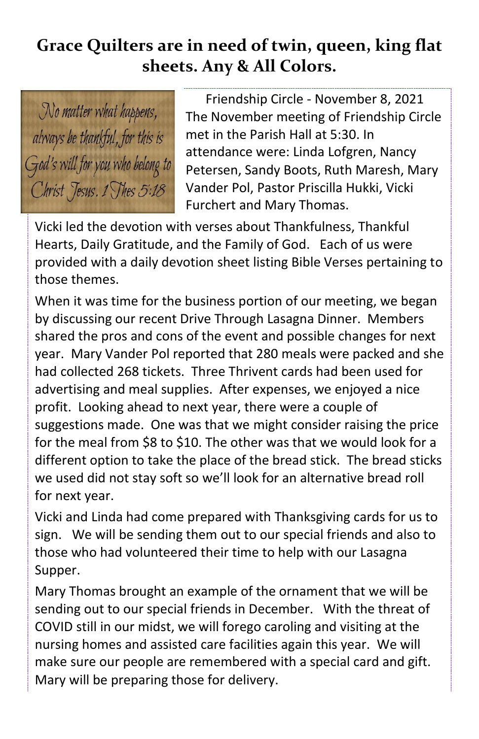#### **Grace Quilters are in need of twin, queen, king flat sheets. Any & All Colors.**

No matter what happens, always be thankful, for this is God's will for you who belong to Christ Jesus. 1 Thes 5:18

Friendship Circle - November 8, 2021 The November meeting of Friendship Circle met in the Parish Hall at 5:30. In attendance were: Linda Lofgren, Nancy Petersen, Sandy Boots, Ruth Maresh, Mary Vander Pol, Pastor Priscilla Hukki, Vicki Furchert and Mary Thomas.

Vicki led the devotion with verses about Thankfulness, Thankful Hearts, Daily Gratitude, and the Family of God. Each of us were provided with a daily devotion sheet listing Bible Verses pertaining to those themes.

When it was time for the business portion of our meeting, we began by discussing our recent Drive Through Lasagna Dinner. Members shared the pros and cons of the event and possible changes for next year. Mary Vander Pol reported that 280 meals were packed and she had collected 268 tickets. Three Thrivent cards had been used for advertising and meal supplies. After expenses, we enjoyed a nice profit. Looking ahead to next year, there were a couple of suggestions made. One was that we might consider raising the price for the meal from \$8 to \$10. The other was that we would look for a different option to take the place of the bread stick. The bread sticks we used did not stay soft so we'll look for an alternative bread roll for next year.

Vicki and Linda had come prepared with Thanksgiving cards for us to sign. We will be sending them out to our special friends and also to those who had volunteered their time to help with our Lasagna Supper.

Mary Thomas brought an example of the ornament that we will be sending out to our special friends in December. With the threat of COVID still in our midst, we will forego caroling and visiting at the nursing homes and assisted care facilities again this year. We will make sure our people are remembered with a special card and gift. Mary will be preparing those for delivery.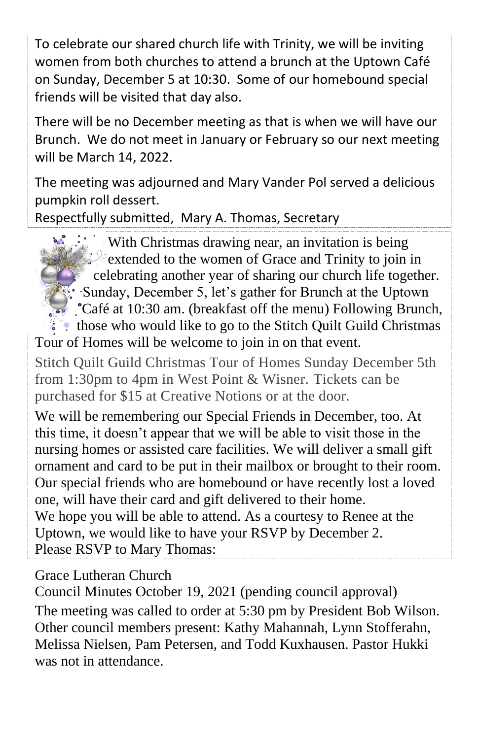To celebrate our shared church life with Trinity, we will be inviting women from both churches to attend a brunch at the Uptown Café on Sunday, December 5 at 10:30. Some of our homebound special friends will be visited that day also.

There will be no December meeting as that is when we will have our Brunch. We do not meet in January or February so our next meeting will be March 14, 2022.

The meeting was adjourned and Mary Vander Pol served a delicious pumpkin roll dessert.

Respectfully submitted, Mary A. Thomas, Secretary

With Christmas drawing near, an invitation is being extended to the women of Grace and Trinity to join in celebrating another year of sharing our church life together. Sunday, December 5, let's gather for Brunch at the Uptown Café at 10:30 am. (breakfast off the menu) Following Brunch, those who would like to go to the Stitch Quilt Guild Christmas Tour of Homes will be welcome to join in on that event.

Stitch Quilt Guild Christmas Tour of Homes Sunday December 5th from 1:30pm to 4pm in West Point & Wisner. Tickets can be purchased for \$15 at Creative Notions or at the door.

We will be remembering our Special Friends in December, too. At this time, it doesn't appear that we will be able to visit those in the nursing homes or assisted care facilities. We will deliver a small gift ornament and card to be put in their mailbox or brought to their room. Our special friends who are homebound or have recently lost a loved one, will have their card and gift delivered to their home. We hope you will be able to attend. As a courtesy to Renee at the Uptown, we would like to have your RSVP by December 2.

Please RSVP to Mary Thomas:

Grace Lutheran Church

Council Minutes October 19, 2021 (pending council approval) The meeting was called to order at 5:30 pm by President Bob Wilson. Other council members present: Kathy Mahannah, Lynn Stofferahn, Melissa Nielsen, Pam Petersen, and Todd Kuxhausen. Pastor Hukki was not in attendance.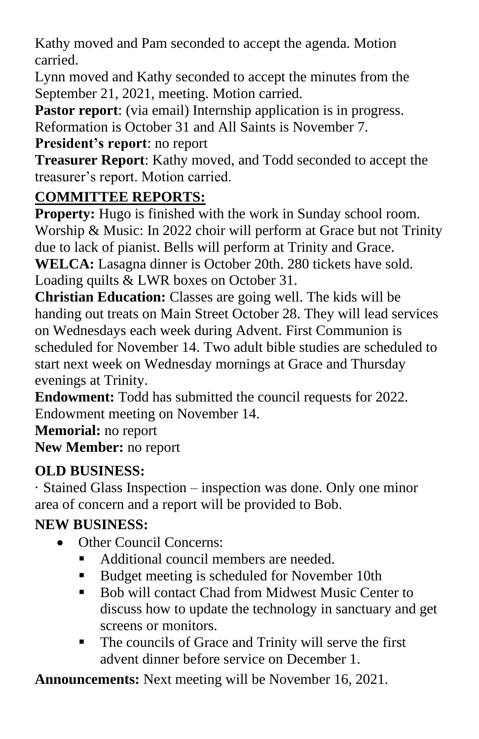Kathy moved and Pam seconded to accept the agenda. Motion carried.

Lynn moved and Kathy seconded to accept the minutes from the September 21, 2021, meeting. Motion carried.

**Pastor report:** (via email) Internship application is in progress.

Reformation is October 31 and All Saints is November 7.

#### **President's report**: no report

**Treasurer Report**: Kathy moved, and Todd seconded to accept the treasurer's report. Motion carried.

#### **COMMITTEE REPORTS:**

**Property:** Hugo is finished with the work in Sunday school room. Worship & Music: In 2022 choir will perform at Grace but not Trinity due to lack of pianist. Bells will perform at Trinity and Grace. **WELCA:** Lasagna dinner is October 20th. 280 tickets have sold. Loading quilts & LWR boxes on October 31.

**Christian Education:** Classes are going well. The kids will be handing out treats on Main Street October 28. They will lead services on Wednesdays each week during Advent. First Communion is scheduled for November 14. Two adult bible studies are scheduled to start next week on Wednesday mornings at Grace and Thursday evenings at Trinity.

**Endowment:** Todd has submitted the council requests for 2022. Endowment meeting on November 14.

**Memorial:** no report **New Member:** no report

#### **OLD BUSINESS:**

· Stained Glass Inspection – inspection was done. Only one minor area of concern and a report will be provided to Bob.

#### **NEW BUSINESS:**

- Other Council Concerns:
	- Additional council members are needed.
	- Budget meeting is scheduled for November 10th
	- Bob will contact Chad from Midwest Music Center to discuss how to update the technology in sanctuary and get screens or monitors.
	- The councils of Grace and Trinity will serve the first advent dinner before service on December 1.

**Announcements:** Next meeting will be November 16, 2021.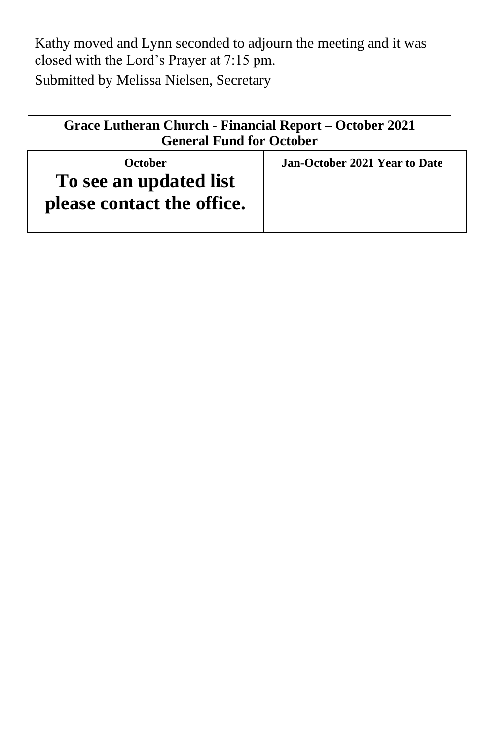Kathy moved and Lynn seconded to adjourn the meeting and it was closed with the Lord's Prayer at 7:15 pm. Submitted by Melissa Nielsen, Secretary

| Grace Lutheran Church - Financial Report – October 2021<br><b>General Fund for October</b> |                               |
|--------------------------------------------------------------------------------------------|-------------------------------|
| October<br>To see an updated list<br>please contact the office.                            | Jan-October 2021 Year to Date |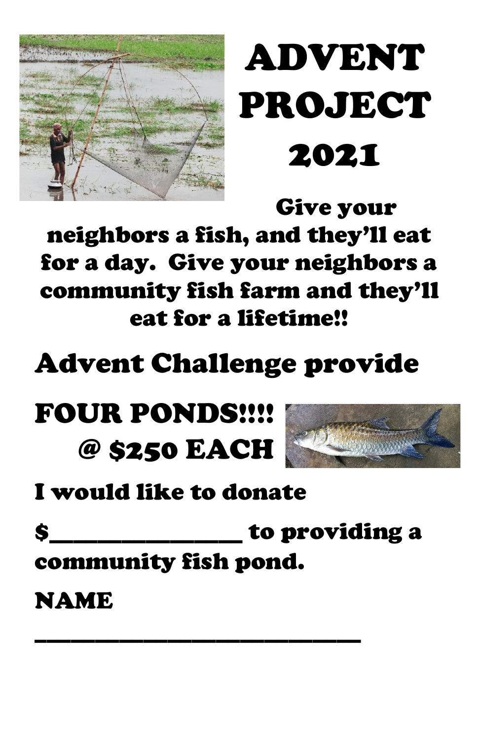

# ADVENT PROJECT 2021

Give your neighbors a fish, and they'll eat for a day. Give your neighbors a community fish farm and they'll eat for a lifetime!!

# Advent Challenge provide

# FOUR PONDS!!!! @ \$250 EACH



# I would like to donate

\$\_\_\_\_\_\_\_\_\_\_\_\_\_\_\_\_ to providing a

community fish pond.

\_\_\_\_\_\_\_\_\_\_\_\_\_\_\_\_\_\_\_\_\_\_\_\_\_\_\_

## **NAME**